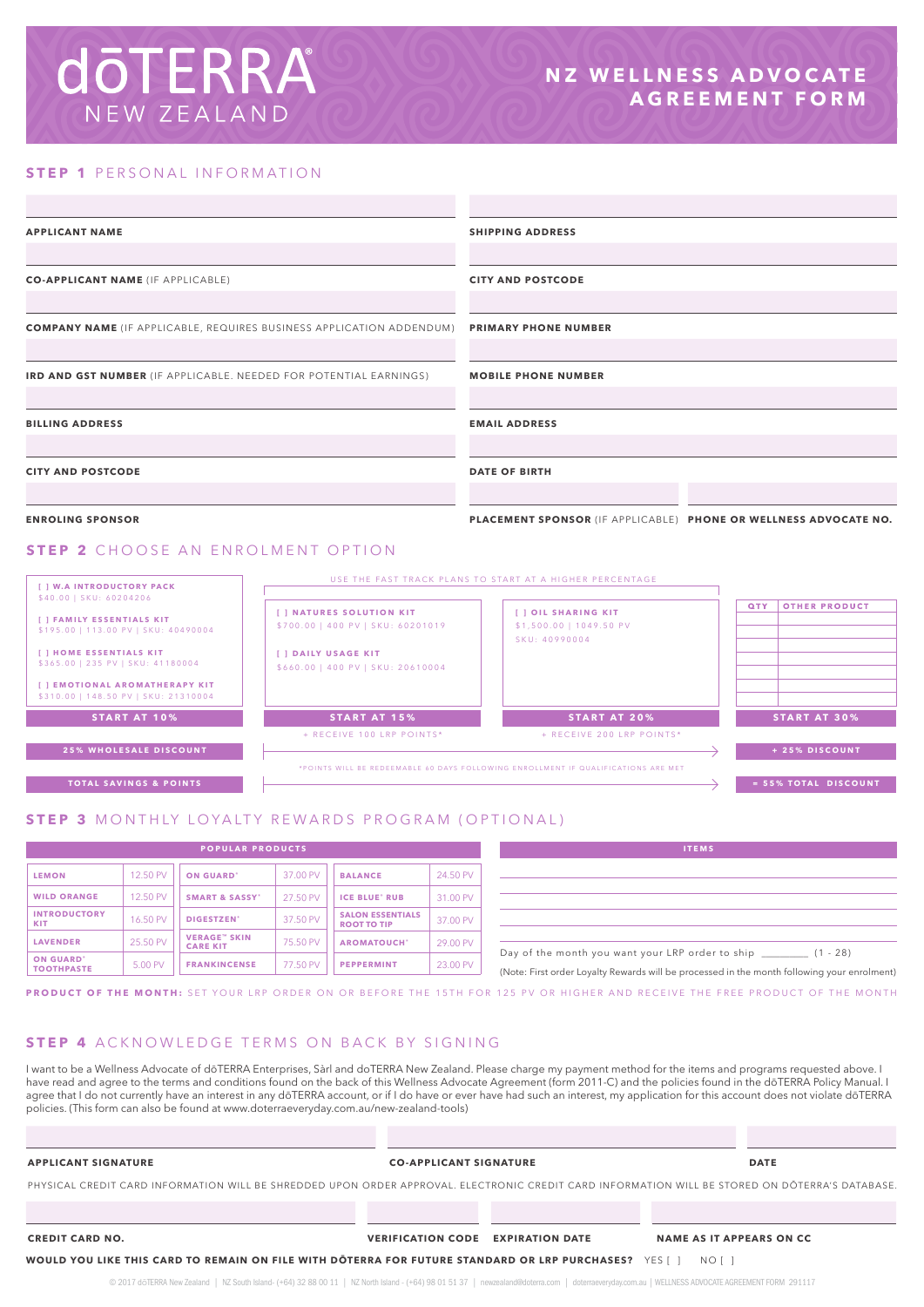# **doTERRA** NEW ZEALAND

### **STEP 1 PERSONAL INFORMATION**

| <b>APPLICANT NAME</b>                                                                        |                                                               | <b>SHIPPING ADDRESS</b><br><b>CITY AND POSTCODE</b>             |                                                                  |  |  |  |
|----------------------------------------------------------------------------------------------|---------------------------------------------------------------|-----------------------------------------------------------------|------------------------------------------------------------------|--|--|--|
| <b>CO-APPLICANT NAME (IF APPLICABLE)</b>                                                     |                                                               |                                                                 |                                                                  |  |  |  |
| <b>COMPANY NAME</b> (IF APPLICABLE, REQUIRES BUSINESS APPLICATION ADDENDUM)                  |                                                               | <b>PRIMARY PHONE NUMBER</b>                                     |                                                                  |  |  |  |
| IRD AND GST NUMBER (IF APPLICABLE. NEEDED FOR POTENTIAL EARNINGS)                            |                                                               | <b>MOBILE PHONE NUMBER</b>                                      |                                                                  |  |  |  |
| <b>BILLING ADDRESS</b>                                                                       |                                                               | <b>EMAIL ADDRESS</b>                                            |                                                                  |  |  |  |
| <b>CITY AND POSTCODE</b>                                                                     |                                                               | <b>DATE OF BIRTH</b>                                            |                                                                  |  |  |  |
| <b>ENROLING SPONSOR</b>                                                                      |                                                               |                                                                 | PLACEMENT SPONSOR (IF APPLICABLE) PHONE OR WELLNESS ADVOCATE NO. |  |  |  |
| <b>STEP 2</b> CHOOSE AN ENROLMENT OPTION                                                     |                                                               |                                                                 |                                                                  |  |  |  |
| [ ] W.A INTRODUCTORY PACK<br>\$40.00   SKU: 60204206                                         | USE THE FAST TRACK PLANS TO START AT A HIGHER PERCENTAGE      |                                                                 |                                                                  |  |  |  |
| [ ] FAMILY ESSENTIALS KIT<br>\$195.00   113.00 PV   SKU: 40490004<br>[ ] HOME ESSENTIALS KIT | [ ] NATURES SOLUTION KIT<br>\$700.00   400 PV   SKU: 60201019 | [ ] OIL SHARING KIT<br>\$1,500.00   1049.50 PV<br>SKU: 40990004 | <b>QTY</b><br><b>OTHER PRODUCT</b>                               |  |  |  |
| \$365.00   235 PV   SKU: 41180004<br>[ ] EMOTIONAL AROMATHERAPY KIT                          | [ ] DAILY USAGE KIT<br>\$660.00   400 PV   SKU: 20610004      |                                                                 |                                                                  |  |  |  |



### **STEP 3** MONTHLY LOYALTY REWARDS PROGRAM (OPTIONAL)

| <b>POPULAR PRODUCTS</b>               |          |                                         |          |                                               | <b>ITEMS</b> |                                                                                               |
|---------------------------------------|----------|-----------------------------------------|----------|-----------------------------------------------|--------------|-----------------------------------------------------------------------------------------------|
| <b>LEMON</b>                          | 12.50 PV | <b>ON GUARD'</b>                        | 37,00 PV | <b>BALANCE</b>                                | 24.50 PV     |                                                                                               |
| <b>WILD ORANGE</b>                    | 12.50 PV | <b>SMART &amp; SASSY*</b>               | 27.50 PV | <b>ICE BLUE' RUB</b>                          | 31.00 PV     |                                                                                               |
| <b>INTRODUCTORY</b><br>KIT            | 16.50 PV | DIGESTZEN <sup>*</sup>                  | 37.50 PV | <b>SALON ESSENTIALS</b><br><b>ROOT TO TIP</b> | 37.00 PV     |                                                                                               |
| <b>LAVENDER</b>                       | 25.50 PV | <b>VERAGE</b> " SKIN<br><b>CARE KIT</b> | 75.50 PV | <b>AROMATOUCH</b> *                           | 29.00 PV     |                                                                                               |
| <b>ON GUARD'</b><br><b>TOOTHPASTE</b> | 5.00 PV  | <b>FRANKINCENSE</b>                     | 77.50 PV | <b>PEPPERMINT</b>                             | 23.00 PV     | Day of the month you want your LRP orde<br>(Note: First order Lovalty Rewards will be process |

| <b>ITEMS</b>                                            |            |  |
|---------------------------------------------------------|------------|--|
|                                                         |            |  |
|                                                         |            |  |
|                                                         |            |  |
|                                                         |            |  |
|                                                         |            |  |
| Day of the month you want your LRP order to ship ______ | $(1 - 28)$ |  |

(Note: First order Loyalty Rewards will be processed in the month following your enrolment)

**PRODUCT OF THE MONTH:** SET YOUR LRP ORDER ON OR BEFORE THE 15TH FOR 125 PV OR HIGHER AND RECEIVE THE FREE PRODUCT OF THE MONTH

### **STEP 4** ACKNOWLEDGE TERMS ON BACK BY SIGNING

I want to be a Wellness Advocate of dōTERRA Enterprises, Sàrl and doTERRA New Zealand. Please charge my payment method for the items and programs requested above. I have read and agree to the terms and conditions found on the back of this Wellness Advocate Agreement (form 2011-C) and the policies found in the dōTERRA Policy Manual. I agree that I do not currently have an interest in any dōTERRA account, or if I do have or ever have had such an interest, my application for this account does not violate dōTERRA account does not violate dōTERRA policies. (This form can also be found at www.doterraeveryday.com.au/new-zealand-tools)

### **APPLICANT SIGNATURE CO-APPLICANT SIGNATURE DATE**

PHYSICAL CREDIT CARD INFORMATION WILL BE SHREDDED UPON ORDER APPROVAL. ELECTRONIC CREDIT CARD INFORMATION WILL BE STORED ON DŌTERRA'S DATABASE.

### **CREDIT CARD NO. VERIFICATION CODE EXPIRATION DATE NAME AS IT APPEARS ON CC**

**WOULD YOU LIKE THIS CARD TO REMAIN ON FILE WITH DŌTERRA FOR FUTURE STANDARD OR LRP PURCHASES?** YES [ ] NO [ ]

© 2017 dōTERRA New Zealand | NZ South Island- (+64) 32 88 00 11 | NZ North Island - (+64) 98 01 51 37 | newzealand@doterra.com | doterraeveryday.com.au | WELLNESS ADVOCATE AGREEMENT FORM 291117